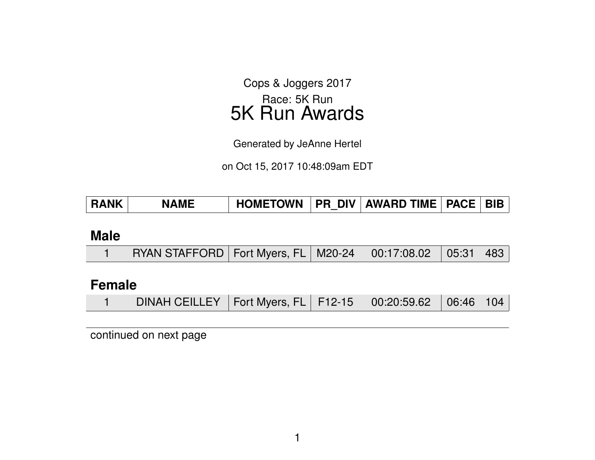Cops & Joggers 2017 Race: 5K Run 5K Run Awards

Generated by JeAnne Hertel

on Oct 15, 2017 10:48:09am EDT

| <b>RANK</b> | <b>NAME</b> |  |  | HOMETOWN   PR DIV   AWARD TIME   PACE   BIB |  |  |
|-------------|-------------|--|--|---------------------------------------------|--|--|
|-------------|-------------|--|--|---------------------------------------------|--|--|

#### **Male**

|  | RYAN STAFFORD   Fort Myers, FL   M20-24   00:17:08.02   05:31   483 |  |  |  |  |  |
|--|---------------------------------------------------------------------|--|--|--|--|--|
|--|---------------------------------------------------------------------|--|--|--|--|--|

### **Female**

|  | DINAH CEILLEY   Fort Myers, FL   F12-15   00:20:59.62   06:46   104 |  |  |  |  |
|--|---------------------------------------------------------------------|--|--|--|--|
|--|---------------------------------------------------------------------|--|--|--|--|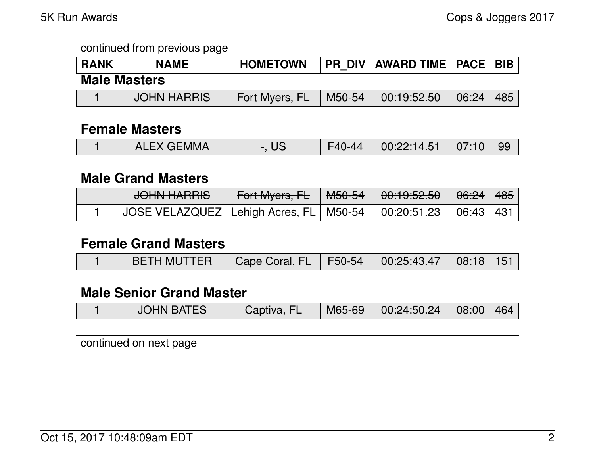| <b>RANK</b> | <b>NAME</b>         | <b>HOMETOWN</b> |        | <b>PR DIV   AWARD TIME   PACE  </b> |       | <b>BIB</b> |
|-------------|---------------------|-----------------|--------|-------------------------------------|-------|------------|
|             | <b>Male Masters</b> |                 |        |                                     |       |            |
|             | <b>JOHN HARRIS</b>  | Fort Myers, FL  | M50-54 | 00:19:52.50                         | 06:24 | 485        |

#### **Female Masters**

|  | <b>ALEX GEMMA</b> | -. US | F40-44 | $00:22:14.51$ 07:10 99 |  |  |
|--|-------------------|-------|--------|------------------------|--|--|
|--|-------------------|-------|--------|------------------------|--|--|

#### **Male Grand Masters**

| $\bigcap$ INI I IA DDIO<br><del>JUNITANNO</del>            | Fort Myers, FL | <sup>∣</sup> <del>M50-54</del> ∣ | <del>00:19:52.50</del> | . <del>06:24</del> ∣ <del>485</del> ∣ |  |
|------------------------------------------------------------|----------------|----------------------------------|------------------------|---------------------------------------|--|
| JOSE VELAZQUEZ   Lehigh Acres, FL   M50-54     00:20:51.23 |                |                                  |                        | $\mid$ 06:43 $\mid$ 431               |  |

#### **Female Grand Masters**

|  | BETH MUTTER   Cape Coral, FL   F50-54   00:25:43.47   08:18   151 |  |  |  |  |  |
|--|-------------------------------------------------------------------|--|--|--|--|--|
|--|-------------------------------------------------------------------|--|--|--|--|--|

## **Male Senior Grand Master**

|  | <b>JOHN BATES</b> | Captiva, FL | M65-69 | $\vert$ 00:24:50.24 $\vert$ 08:00   464 |  |  |
|--|-------------------|-------------|--------|-----------------------------------------|--|--|
|--|-------------------|-------------|--------|-----------------------------------------|--|--|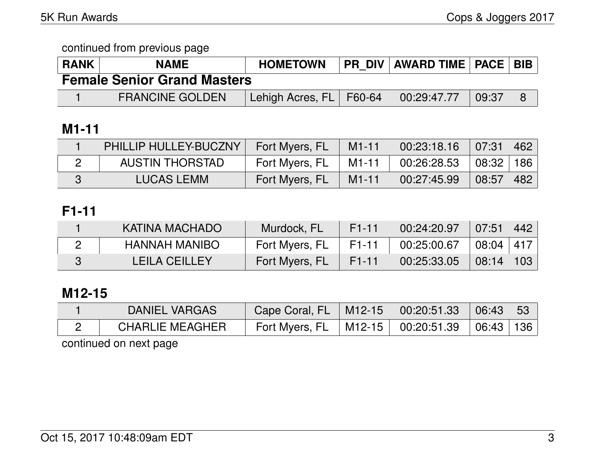| <b>RANK</b>                        | <b>NAME</b>            | <b>HOMETOWN</b>           |  | <b>PR DIV AWARD TIME   PACE   BIB  </b> |       |  |  |  |
|------------------------------------|------------------------|---------------------------|--|-----------------------------------------|-------|--|--|--|
| <b>Female Senior Grand Masters</b> |                        |                           |  |                                         |       |  |  |  |
|                                    | <b>FRANCINE GOLDEN</b> | Lehigh Acres, FL   F60-64 |  | 00:29:47.77                             | 09:37 |  |  |  |

# **M1-11**

| <b>PHILLIP HULLEY-BUCZNY</b> | Fort Myers, FL | $M1-11$   | $\mid$ 00:23:18.16 $\mid$ 07:31   462 |                                |  |
|------------------------------|----------------|-----------|---------------------------------------|--------------------------------|--|
| <b>AUSTIN THORSTAD</b>       | Fort Myers, FL | $M1-11$   | 00:26:28.53                           | 08:32 186                      |  |
| <b>LUCAS LEMM</b>            | Fort Myers, FL | $M1 - 11$ | 00:27:45.99                           | $\mid$ 08:57 $\mid$ 482 $\mid$ |  |

### **F1-11**

| KATINA MACHADO       | Murdock, FL    | F <sub>1</sub> -11 | 00:24:20.97 | (07:51)       | 442 |
|----------------------|----------------|--------------------|-------------|---------------|-----|
| HANNAH MANIBO        | Fort Myers, FL | F1-11              | 00:25:00.67 | 08:04 417     |     |
| <b>LEILA CEILLEY</b> | Fort Myers, FL | F1-11              | 00:25:33.05 | $08:14$   103 |     |

## **M12-15**

| DANIEL VARGAS          | Cape Coral, FL   M12-15   00:20:51.33               |  | 06:43 53 |  |
|------------------------|-----------------------------------------------------|--|----------|--|
| <b>CHARLIE MEAGHER</b> | Fort Myers, FL   M12-15   00:20:51.39   06:43   136 |  |          |  |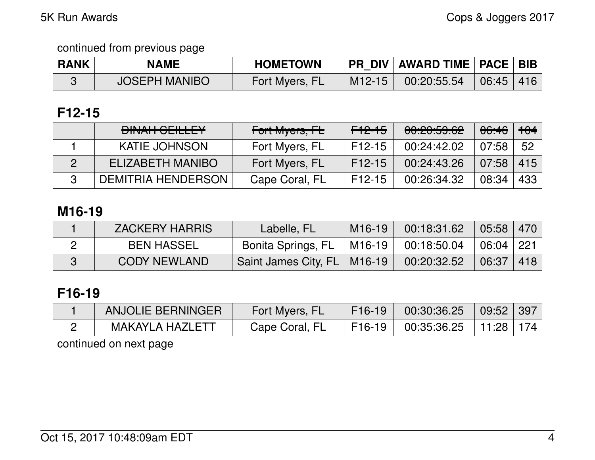| <b>RANK</b> | <b>NAME</b>          | <b>HOMETOWN</b> |          | <b>PR DIV AWARD TIME   PACE   BIB</b>         |  |
|-------------|----------------------|-----------------|----------|-----------------------------------------------|--|
|             | <b>JOSEPH MANIBO</b> | Fort Myers, FL  | $M12-15$ | $\parallel$ 00:20:55.54 $\parallel$ 06:45 416 |  |

# **F12-15**

| <b>DINAH GEILLEY</b>      | Fort Myers, FL | F12-15   | 00:20:59.62 | <del>06:46</del> | $+04$ |
|---------------------------|----------------|----------|-------------|------------------|-------|
| <b>KATIE JOHNSON</b>      | Fort Myers, FL | $F12-15$ | 00:24:42.02 | 07:58            | - 52  |
| ELIZABETH MANIBO          | Fort Myers, FL | $F12-15$ | 00:24:43.26 | 07:58            | 415   |
| <b>DEMITRIA HENDERSON</b> | Cape Coral, FL | $F12-15$ | 00:26:34.32 | 08:34            | 433   |

### **M16-19**

| <b>ZACKERY HARRIS</b> | Labelle, FL                   | $M16-19$ | 00:18:31.62 | $\vert$ 05:58 $\vert$ 470 $\vert$ |     |
|-----------------------|-------------------------------|----------|-------------|-----------------------------------|-----|
| <b>BEN HASSEL</b>     | Bonita Springs, FL            | M16-19   | 00:18:50.04 | 06:04 221                         |     |
| <b>CODY NEWLAND</b>   | Saint James City, FL   M16-19 |          | 00:20:32.52 | 06:37                             | 418 |

# **F16-19**

| <b>ANJOLIE BERNINGER</b> | Fort Myers, FL | $F16-19$            | 00:30:36.25 | 09:52         | 397 |
|--------------------------|----------------|---------------------|-------------|---------------|-----|
| MAKAYLA HAZLETT          | Cape Coral, FL | F <sub>16</sub> -19 | 00:35:36.25 | $11:28$   174 |     |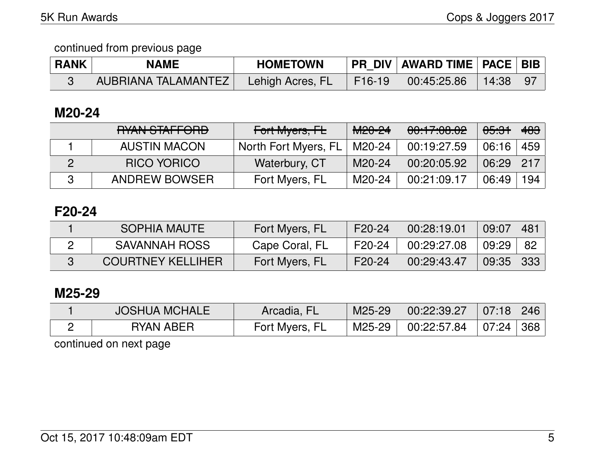| <b>RANK</b> | <b>NAME</b>         | <b>HOMETOWN</b>  |        | PR_DIV   AWARD TIME   PACE   BIB |  |
|-------------|---------------------|------------------|--------|----------------------------------|--|
|             | AUBRIANA TALAMANTEZ | Lehigh Acres, FL | F16-19 |                                  |  |

### **M20-24**

| RYAN STAFFORD        | Fort Myers, FL       | <del>M20-24</del> | 00:17:08.02 | <del>05:31</del> | 483 |
|----------------------|----------------------|-------------------|-------------|------------------|-----|
| <b>AUSTIN MACON</b>  | North Fort Myers, FL | M20-24            | 00:19:27.59 | 06:16            | 459 |
| <b>RICO YORICO</b>   | Waterbury, CT        | M20-24            | 00:20:05.92 | 06:29            | 217 |
| <b>ANDREW BOWSER</b> | Fort Myers, FL       | M20-24            | 00:21:09.17 | 06:49            | 194 |

## **F20-24**

| <b>SOPHIA MAUTE</b>      | Fort Myers, FL | F20-24 | 00:28:19.01 | 09:07 | 48 <sup>°</sup> |
|--------------------------|----------------|--------|-------------|-------|-----------------|
| <b>SAVANNAH ROSS</b>     | Cape Coral, FL | F20-24 | 00:29:27.08 | 09:29 | - 82            |
| <b>COURTNEY KELLIHER</b> | Fort Myers, FL | F20-24 | 00:29:43.47 | 09:35 | -333            |

## **M25-29**

|           | Arcadia, FL    | M25-29 | 00:22:39.27 | 07:18     | 246 |
|-----------|----------------|--------|-------------|-----------|-----|
| RYAN ABER | Fort Myers, FL | M25-29 | 00:22:57.84 | 07:24 368 |     |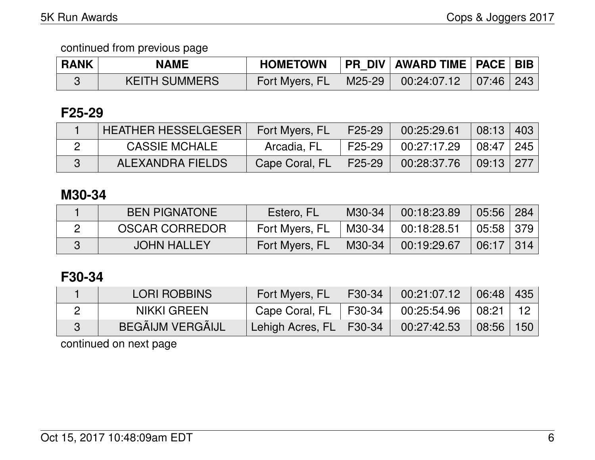| <b>RANK</b> | <b>NAME</b>          | <b>HOMETOWN</b> |               | PR DIV   AWARD TIME   PACE   BIB |  |
|-------------|----------------------|-----------------|---------------|----------------------------------|--|
|             | <b>KEITH SUMMERS</b> | Fort Myers, FL  | $\mid$ M25-29 | $00:24:07.12$ 07:46 243          |  |

## **F25-29**

| <b>HEATHER HESSELGESER</b> | Fort Myers, FL | F25-29 | 00:25:29.61 | 08:13 403     |  |
|----------------------------|----------------|--------|-------------|---------------|--|
| <b>CASSIE MCHALE</b>       | Arcadia, FL    | F25-29 | 00:27:17.29 | 08:47   245   |  |
| ALEXANDRA FIELDS           | Cape Coral, FL | F25-29 | 00:28:37.76 | $09:13$   277 |  |

## **M30-34**

| <b>BEN PIGNATONE</b>  | Estero, FL     | M30-34 | 00:18:23.89 | $05:56$ 284 |  |
|-----------------------|----------------|--------|-------------|-------------|--|
| <b>OSCAR CORREDOR</b> | Fort Myers, FL | M30-34 | 00:18:28.51 | 05:58 379   |  |
| <b>JOHN HALLEY</b>    | Fort Myers, FL | M30-34 | 00:19:29.67 | 06:17   314 |  |

# **F30-34**

| <b>LORI ROBBINS</b>     | Fort Myers, FL              | F30-34 | 00:21:07.12 | $06:48$ 435 |                 |
|-------------------------|-----------------------------|--------|-------------|-------------|-----------------|
| <b>NIKKI GREEN</b>      | Cape Coral, FL              | F30-34 | 00:25:54.96 | 08:21       | 12 <sup>1</sup> |
| <b>BEGÂIJM VERGÂIJL</b> | Lehigh Acres, FL   F30-34 \ |        | 00:27:42.53 | 08:56       | 150             |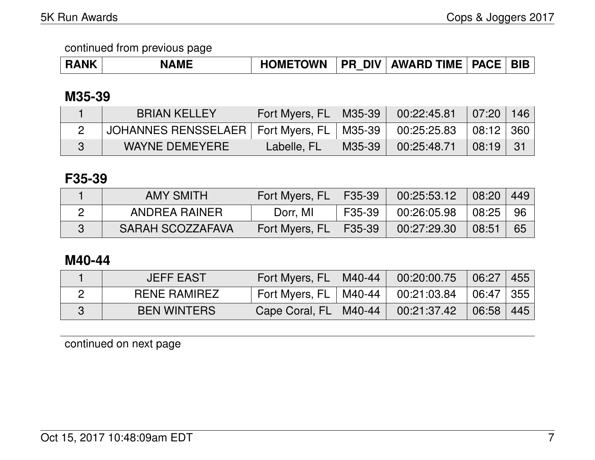|  | 'NJ. | <b>HOMETOWN</b> | $^{\circ}$ DIV $_{\odot}$<br><b>PR</b> | <b>AWARD TIME</b> | <b>PACE</b> | . BIF |
|--|------|-----------------|----------------------------------------|-------------------|-------------|-------|
|--|------|-----------------|----------------------------------------|-------------------|-------------|-------|

## **M35-39**

| <b>BRIAN KELLEY</b>                           | Fort Myers, FL   M35-39 |        | 00:22:45.81 | 07:20     | 146  |
|-----------------------------------------------|-------------------------|--------|-------------|-----------|------|
| JOHANNES RENSSELAER   Fort Myers, FL   M35-39 |                         |        | 00:25:25.83 | 08:12 360 |      |
| WAYNE DEMEYERE                                | Labelle, FL             | M35-39 | 00:25:48.71 | 08:19     | - 31 |

### **F35-39**

| <b>AMY SMITH</b> | Fort Myers, $FL$   F35-39 |        | 00:25:53.12 | $\mid$ 08:20 $\mid$ 449 $\mid$ |    |
|------------------|---------------------------|--------|-------------|--------------------------------|----|
| ANDREA RAINER    | Dorr, MI                  | F35-39 | 00:26:05.98 | 08:25                          | 96 |
| SARAH SCOZZAFAVA | Fort Myers, FL   F35-39   |        | 00:27:29.30 | 08:51                          | 65 |

## **M40-44**

| <b>JEFF EAST</b>    | Fort Myers, FL   M40-44 | 00:20:00.75 | 06:27       | 455 |
|---------------------|-------------------------|-------------|-------------|-----|
| <b>RENE RAMIREZ</b> | Fort Myers, FL   M40-44 | 00:21:03.84 | 06:47   355 |     |
| <b>BEN WINTERS</b>  | Cape Coral, FL   M40-44 | 00:21:37.42 | 06:58       | 445 |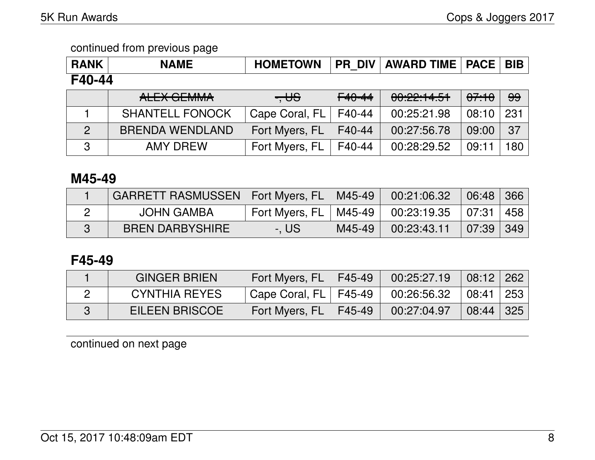| <b>RANK</b>    | <b>NAME</b>            | <b>HOMETOWN</b> | <b>PR DIV</b> | <b>AWARD TIME   PACE  </b> |       | <b>BIB</b> |
|----------------|------------------------|-----------------|---------------|----------------------------|-------|------------|
| F40-44         |                        |                 |               |                            |       |            |
|                | ALEX GEMMA             | $-$ US          | $F40-44$      | 00:22:14.51                | 07:10 | 99         |
|                | <b>SHANTELL FONOCK</b> | Cape Coral, FL  | F40-44        | 00:25:21.98                | 08:10 | 231        |
| $\overline{2}$ | <b>BRENDA WENDLAND</b> | Fort Myers, FL  | F40-44        | 00:27:56.78                | 09:00 | 37         |
| 3              | <b>AMY DREW</b>        | Fort Myers, FL  | F40-44        | 00:28:29.52                | 09:11 | 180        |

### **M45-49**

| GARRETT RASMUSSEN   Fort Myers, FL   M45-49 |                                                     |        | 00:21:06.32             | 06:48 366 |  |
|---------------------------------------------|-----------------------------------------------------|--------|-------------------------|-----------|--|
| <b>JOHN GAMBA</b>                           | Fort Myers, FL   M45-49   00:23:19.35   07:31   458 |        |                         |           |  |
| <b>BREN DARBYSHIRE</b>                      | -. US                                               | M45-49 | $00:23:43.11$ 07:39 349 |           |  |

## **F45-49**

| <b>GINGER BRIEN</b>  | Fort Myers, $FL$   F45-49 |        | 00:25:27.19 | $\mid$ 08:12   262 |  |
|----------------------|---------------------------|--------|-------------|--------------------|--|
| <b>CYNTHIA REYES</b> | ' Cape Coral, FL   F45-49 |        | 00:26:56.32 | 08:41 253          |  |
| EILEEN BRISCOE       | Fort Myers, FL            | F45-49 | 00:27:04.97 | $08:44$ 325        |  |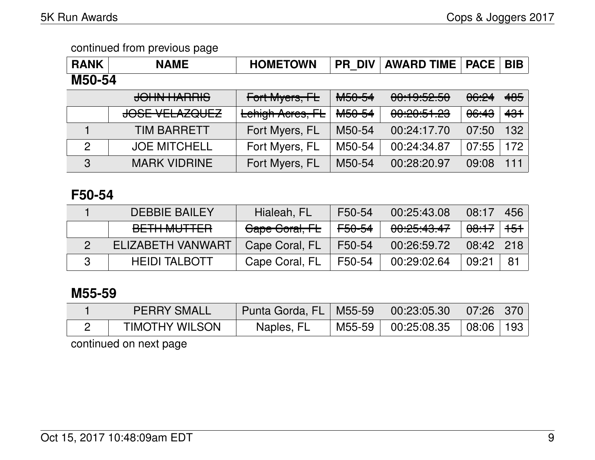| <b>RANK</b>   | <b>NAME</b>               | <b>HOMETOWN</b>  | <b>PR DIV</b>      | <b>AWARD TIME</b>                  | <b>PACE</b>      | <b>BIB</b> |  |
|---------------|---------------------------|------------------|--------------------|------------------------------------|------------------|------------|--|
| M50-54        |                           |                  |                    |                                    |                  |            |  |
|               | <b>JOHN HARRIS</b>        | Fort Myers, FL   | M50-54             | 00:19:52.50                        | 06:24            | 485        |  |
|               | <del>JOSE VELAZQUEZ</del> | Lehigh Acres, FL | M <sub>50-54</sub> | 0.0005102<br><u>UU. LU. JI. LU</u> | <del>06:43</del> | 431        |  |
|               | <b>TIM BARRETT</b>        | Fort Myers, FL   | M50-54             | 00:24:17.70                        | 07:50            | 132        |  |
| $\mathcal{P}$ | <b>JOE MITCHELL</b>       | Fort Myers, FL   | M50-54             | 00:24:34.87                        | 07:55            | 172        |  |
| 3             | <b>MARK VIDRINE</b>       | Fort Myers, FL   | M50-54             | 00:28:20.97                        | 09:08            | 111        |  |

### **F50-54**

| <b>DEBBIE BAILEY</b>                          | Hialeah, FL    | F50-54            | 00:25:43.08 | 08:17            | 456            |
|-----------------------------------------------|----------------|-------------------|-------------|------------------|----------------|
| <u>DETII MUTTED</u><br><del>DE HINOTTER</del> | Cape Coral, FL | <del>F50-54</del> | 00:25:43.47 | <del>08:17</del> | <del>151</del> |
| ELIZABETH VANWART                             | Cape Coral, FL | F50-54            | 00:26:59.72 | 08:42            | 218            |
| <b>HEIDI TALBOTT</b>                          | Cape Coral, FL | F50-54            | 00:29:02.64 | 09:21            | 81             |

## **M55-59**

| <b>PERRY SMALL</b>    | Punta Gorda, FL   M55-59   00:23:05.30   07:26   370 |                              |  |
|-----------------------|------------------------------------------------------|------------------------------|--|
| <b>TIMOTHY WILSON</b> | Naples, FL                                           | M55-59 00:25:08.35 08:06 193 |  |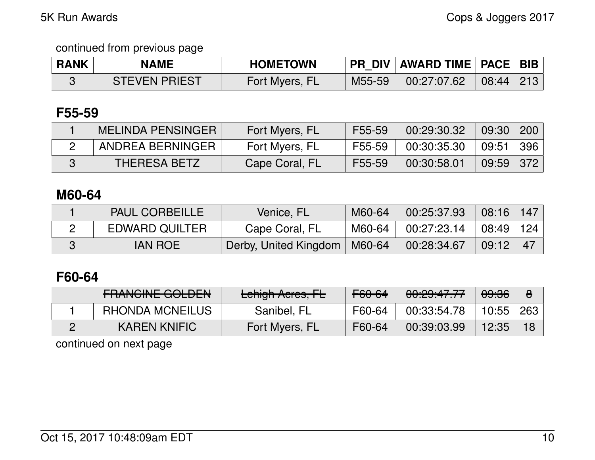| <b>RANK</b> | <b>NAME</b>          | <b>HOMETOWN</b> |        | <b>PR DIV AWARD TIME PACE BIB</b> |           |  |
|-------------|----------------------|-----------------|--------|-----------------------------------|-----------|--|
|             | <b>STEVEN PRIEST</b> | Fort Myers, FL  | M55-59 | 00:27:07.62                       | 08:44 213 |  |

#### **F55-59**

| MELINDA PENSINGER   | Fort Myers, FL | F55-59 | 00:29:30.32 | 09:30   200 |     |
|---------------------|----------------|--------|-------------|-------------|-----|
| ANDREA BERNINGER    | Fort Myers, FL | F55-59 | 00:30:35.30 | 09:51       | 396 |
| <b>THERESA BETZ</b> | Cape Coral, FL | F55-59 | 00:30:58.01 | $09:59$ 372 |     |

## **M60-64**

| <b>PAUL CORBEILLE</b> | Venice, FL            | M60-64 | 00:25:37.93 | 08:16 | 147 |
|-----------------------|-----------------------|--------|-------------|-------|-----|
| <b>EDWARD QUILTER</b> | Cape Coral, FL        | M60-64 | 00:27:23.14 | 08:49 | 124 |
| <b>IAN ROE</b>        | Derby, United Kingdom | M60-64 | 00:28:34.67 | 09:12 | 47  |

## **F60-64**

| <b>EDANQINIE COLDEN</b><br><b>THANUME UULDEN</b> | Lehigh Acres, FL | F60-64 | 0.00.4777<br><u>UU.CJ.47.77</u> | 09:36 | O   |
|--------------------------------------------------|------------------|--------|---------------------------------|-------|-----|
| <b>RHONDA MCNEILUS</b>                           | Sanibel, FL      | F60-64 | 00:33:54.78                     | 10:55 | 263 |
| <b>KAREN KNIFIC</b>                              | Fort Myers, FL   | F60-64 | 00:39:03.99                     | 12:35 |     |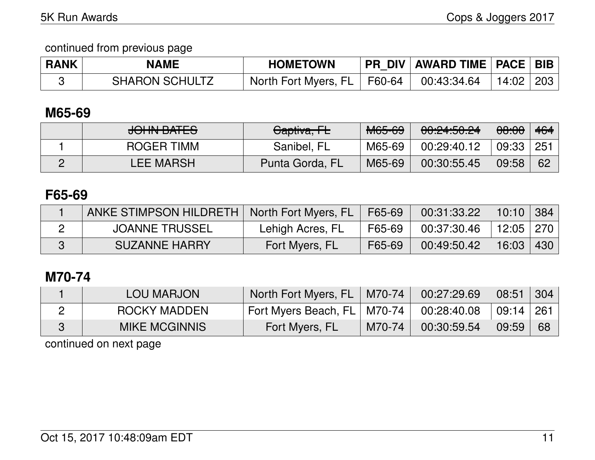| <b>RANK</b> | <b>NAME</b>           | <b>HOMETOWN</b>               | PR_DIV   AWARD TIME   PACE   BIB |                               |  |
|-------------|-----------------------|-------------------------------|----------------------------------|-------------------------------|--|
|             | <b>SHARON SCHULTZ</b> | North Fort Myers, FL   F60-64 | $\vert$ 00:43:34.64 $\vert$      | $\perp$ 14:02 $\parallel$ 203 |  |

### **M65-69**

| <u>IALINI DATEC</u><br><del>JUNIV DATEJ</del> | Captiva, FL     | <b>M65-69</b> | 0.045004<br><b>UU.CT.JU.CT</b> | <del>08:00</del> | 464 |
|-----------------------------------------------|-----------------|---------------|--------------------------------|------------------|-----|
| <b>ROGER TIMM</b>                             | Sanibel, FL     | M65-69        | 00:29:40.12                    | 09:33            | 251 |
| <b>LEE MARSH</b>                              | Punta Gorda, FL | M65-69        | 00:30:55.45                    | 09:58            | 62  |

## **F65-69**

| ANKE STIMPSON HILDRETH   North Fort Myers, FL   F65-69 |                  |        | 00:31:33.22 | $ $ 10:10 $ $ 384 $ $ |       |
|--------------------------------------------------------|------------------|--------|-------------|-----------------------|-------|
| <b>JOANNE TRUSSEL</b>                                  | Lehigh Acres, FL | F65-69 | 00:37:30.46 | │ 12:05 │ 270 │       |       |
| <b>SUZANNE HARRY</b>                                   | Fort Myers, FL   | F65-69 | 00:49:50.42 | 16:03                 | –430∣ |

### **M70-74**

| LOU MARJON           | North Fort Myers, FL          | $\mid$ M70-74 | 00:27:29.69 | $\sqrt{08:}51$ | $\mid$ 304 |
|----------------------|-------------------------------|---------------|-------------|----------------|------------|
| ROCKY MADDEN         | Fort Myers Beach, FL   M70-74 |               | 00:28:40.08 | ∣ 09:14 ∣ 261  |            |
| <b>MIKE MCGINNIS</b> | Fort Myers, FL                | M70-74        | 00:30:59.54 | 09:59          | - 68       |